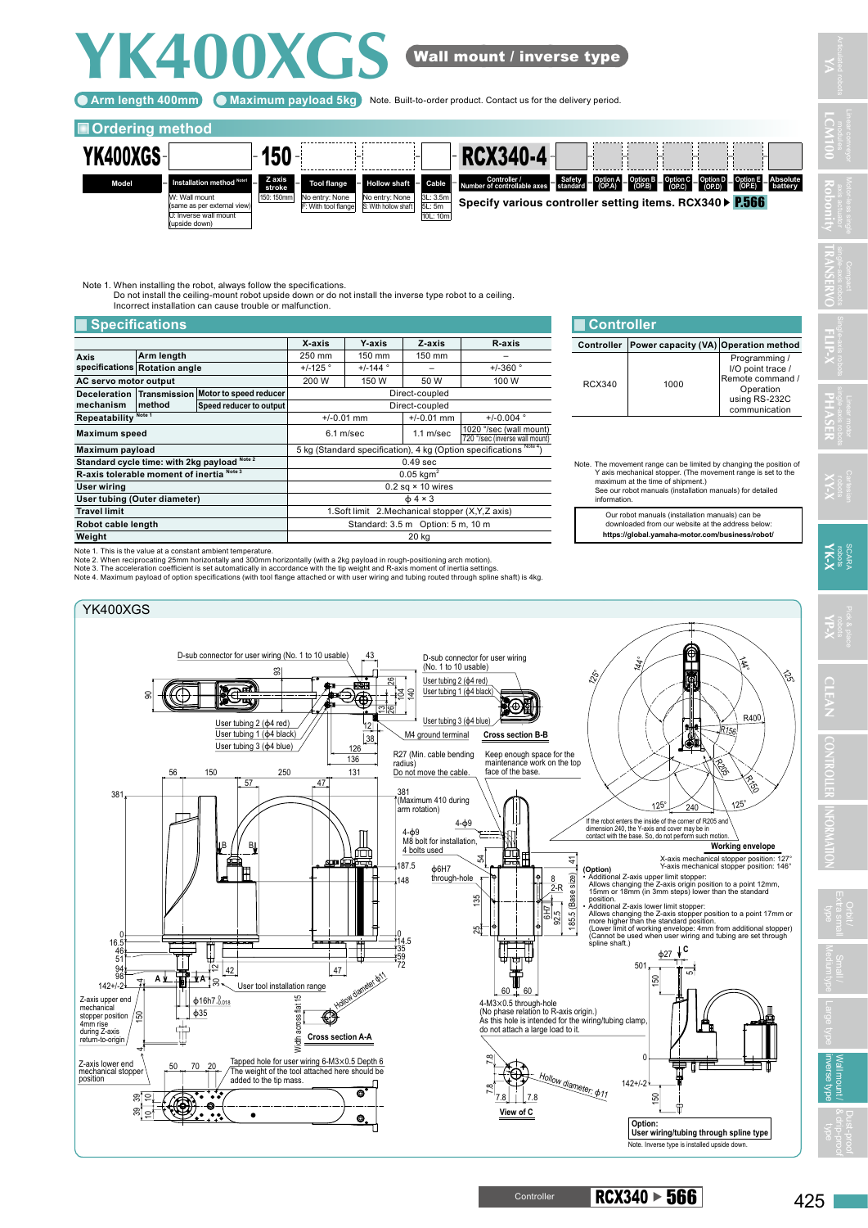## **YK400XGS**

Arm length 400mm) (C Maximum payload 5kg ) Note. Built-to-order product. Contact us for the delivery period.

## **Ordering method**



Wall mount / inverse type

Note 1. When installing the robot, always follow the specifications. Do not install the ceiling-mount robot upside down or do not install the inverse type robot to a ceiling. Incorrect installation can cause trouble or malfunction.

## **Exercifications**

| X-axis<br>Y-axis<br>Z-axis<br>R-axis<br>Arm length<br>250 mm<br>150 mm<br>150 mm<br>Axis<br>specifications Rotation angle<br>$+/-125$ °<br>$+/-144$ °<br>$+/-360$ ° |                                                                    |  |  |
|---------------------------------------------------------------------------------------------------------------------------------------------------------------------|--------------------------------------------------------------------|--|--|
|                                                                                                                                                                     |                                                                    |  |  |
|                                                                                                                                                                     |                                                                    |  |  |
|                                                                                                                                                                     |                                                                    |  |  |
| AC servo motor output<br>200 W<br>150 W<br>50 W<br>100 W                                                                                                            |                                                                    |  |  |
| Transmission Motor to speed reducer<br>Direct-coupled<br><b>Deceleration</b>                                                                                        |                                                                    |  |  |
| mechanism<br>method<br>Speed reducer to output<br>Direct-coupled                                                                                                    |                                                                    |  |  |
| Note 1<br>Repeatability<br>$+/-0.004$ °<br>$+/-0.01$ mm<br>$+/-0.01$ mm                                                                                             |                                                                    |  |  |
| 1020 °/sec (wall mount)<br>$6.1$ m/sec<br>$1.1$ m/sec<br><b>Maximum speed</b><br>720 °/sec (inverse wall mount)                                                     |                                                                    |  |  |
| Maximum payload                                                                                                                                                     | 5 kg (Standard specification), 4 kg (Option specifications Note 4) |  |  |
| Standard cycle time: with 2kg payload Note 2<br>0.49 <sub>sec</sub>                                                                                                 |                                                                    |  |  |
| R-axis tolerable moment of inertia Note 3<br>$0.05$ kam <sup>2</sup>                                                                                                |                                                                    |  |  |
| $0.2$ sq $\times$ 10 wires<br>User wiring                                                                                                                           |                                                                    |  |  |
| User tubing (Outer diameter)<br>$\phi$ 4 × 3                                                                                                                        |                                                                    |  |  |
| <b>Travel limit</b><br>1. Soft limit 2. Mechanical stopper (X, Y, Z axis)                                                                                           |                                                                    |  |  |
| Standard: 3.5 m Option: 5 m, 10 m<br>Robot cable length                                                                                                             |                                                                    |  |  |
| Weight<br>20 kg                                                                                                                                                     |                                                                    |  |  |

Note 1. This is the value at a constant ambient temperature.

Note 2. When reciprocating 25mm horizontally and 300mm horizontally (with a 2kg payload in rough-positioning arch motion).<br>Note 3. The acceleration coefficient is set automatically in accordance with the tip weight and R-a



| <b>Controller</b> |                                      |                                                                                                       |  |
|-------------------|--------------------------------------|-------------------------------------------------------------------------------------------------------|--|
| <b>Controller</b> | Power capacity (VA) Operation method |                                                                                                       |  |
| RCX340            | 1000                                 | Programming /<br>I/O point trace /<br>Remote command /<br>Operation<br>using RS-232C<br>communication |  |

Note. The movement range can be limited by changing the position of Y axis mechanical stopper. (The movement range is set to the maximum at the time of shipment.) See our robot manuals (installation manuals) for detailed information.

Our robot manuals (installation manuals) can be downloaded from our website at the address below: **https://global.yamaha-motor.com/business/robot/** **YA**

**LCM100**

**TRANSERVO**

**Robonity**

Orbit /

 $\text{Controller}$  RCX340  $\triangleright$  566

inverse type Wall mount /

& drip-proof